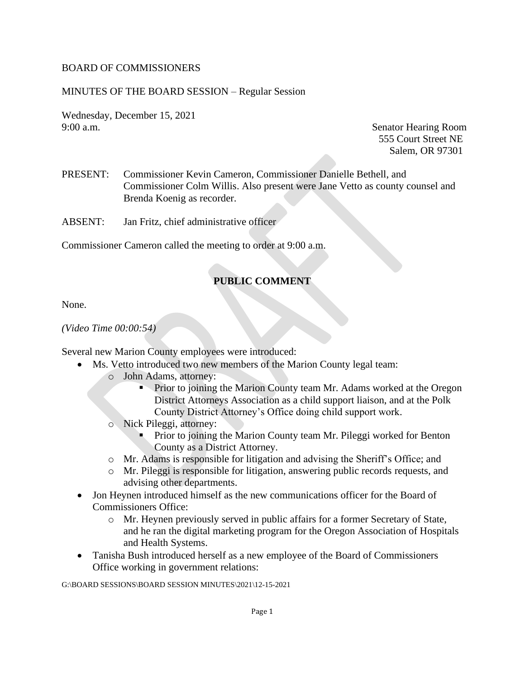#### BOARD OF COMMISSIONERS

#### MINUTES OF THE BOARD SESSION – Regular Session

Wednesday, December 15, 2021 9:00 a.m. Senator Hearing Room

555 Court Street NE Salem, OR 97301

- PRESENT: Commissioner Kevin Cameron, Commissioner Danielle Bethell, and Commissioner Colm Willis. Also present were Jane Vetto as county counsel and Brenda Koenig as recorder.
- ABSENT: Jan Fritz, chief administrative officer

Commissioner Cameron called the meeting to order at 9:00 a.m.

# **PUBLIC COMMENT**

None.

*(Video Time 00:00:54)*

Several new Marion County employees were introduced:

- Ms. Vetto introduced two new members of the Marion County legal team:
	- o John Adams, attorney:
		- **Prior to joining the Marion County team Mr. Adams worked at the Oregon** District Attorneys Association as a child support liaison, and at the Polk County District Attorney's Office doing child support work.
	- o Nick Pileggi, attorney:
		- Prior to joining the Marion County team Mr. Pileggi worked for Benton County as a District Attorney.
	- o Mr. Adams is responsible for litigation and advising the Sheriff's Office; and
	- o Mr. Pileggi is responsible for litigation, answering public records requests, and advising other departments.
- Jon Heynen introduced himself as the new communications officer for the Board of Commissioners Office:
	- o Mr. Heynen previously served in public affairs for a former Secretary of State, and he ran the digital marketing program for the Oregon Association of Hospitals and Health Systems.
- Tanisha Bush introduced herself as a new employee of the Board of Commissioners Office working in government relations: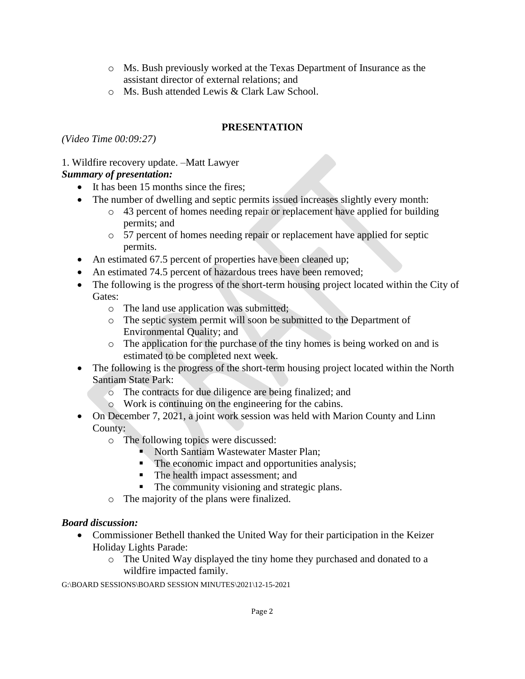- o Ms. Bush previously worked at the Texas Department of Insurance as the assistant director of external relations; and
- o Ms. Bush attended Lewis & Clark Law School.

# **PRESENTATION**

*(Video Time 00:09:27)*

## 1. Wildfire recovery update. –Matt Lawyer

# *Summary of presentation:*

- It has been 15 months since the fires;
- The number of dwelling and septic permits issued increases slightly every month:
	- o 43 percent of homes needing repair or replacement have applied for building permits; and
	- o 57 percent of homes needing repair or replacement have applied for septic permits.
- An estimated 67.5 percent of properties have been cleaned up;
- An estimated 74.5 percent of hazardous trees have been removed;
- The following is the progress of the short-term housing project located within the City of Gates:
	- o The land use application was submitted;
	- o The septic system permit will soon be submitted to the Department of Environmental Quality; and
	- o The application for the purchase of the tiny homes is being worked on and is estimated to be completed next week.
- The following is the progress of the short-term housing project located within the North Santiam State Park:
	- o The contracts for due diligence are being finalized; and
	- o Work is continuing on the engineering for the cabins.
- On December 7, 2021, a joint work session was held with Marion County and Linn County:
	- o The following topics were discussed:
		- North Santiam Wastewater Master Plan;
		- The economic impact and opportunities analysis;
		- The health impact assessment; and
		- The community visioning and strategic plans.
	- o The majority of the plans were finalized.

# *Board discussion:*

- Commissioner Bethell thanked the United Way for their participation in the Keizer Holiday Lights Parade:
	- o The United Way displayed the tiny home they purchased and donated to a wildfire impacted family.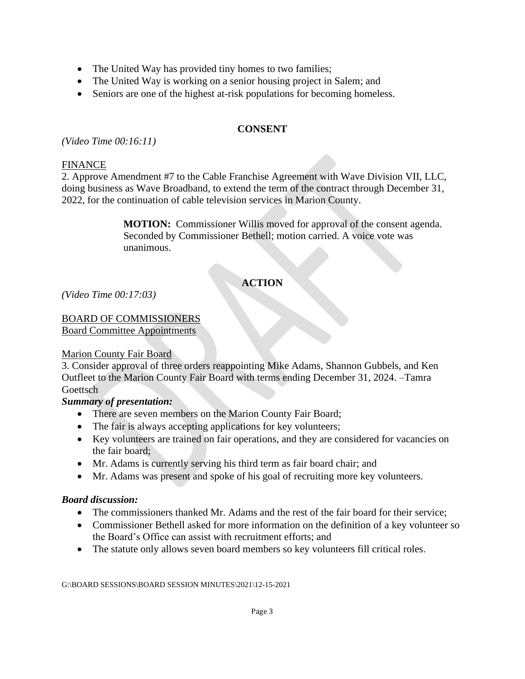- The United Way has provided tiny homes to two families;
- The United Way is working on a senior housing project in Salem; and
- Seniors are one of the highest at-risk populations for becoming homeless.

#### **CONSENT**

*(Video Time 00:16:11)*

#### FINANCE

2. Approve Amendment #7 to the Cable Franchise Agreement with Wave Division VII, LLC, doing business as Wave Broadband, to extend the term of the contract through December 31, 2022, for the continuation of cable television services in Marion County.

> **MOTION:** Commissioner Willis moved for approval of the consent agenda. Seconded by Commissioner Bethell; motion carried. A voice vote was unanimous.

# **ACTION**

*(Video Time 00:17:03)*

# BOARD OF COMMISSIONERS

Board Committee Appointments

#### Marion County Fair Board

3. Consider approval of three orders reappointing Mike Adams, Shannon Gubbels, and Ken Outfleet to the Marion County Fair Board with terms ending December 31, 2024. –Tamra Goettsch

### *Summary of presentation:*

- There are seven members on the Marion County Fair Board;
- The fair is always accepting applications for key volunteers;
- Key volunteers are trained on fair operations, and they are considered for vacancies on the fair board;
- Mr. Adams is currently serving his third term as fair board chair; and
- Mr. Adams was present and spoke of his goal of recruiting more key volunteers.

#### *Board discussion:*

- The commissioners thanked Mr. Adams and the rest of the fair board for their service;
- Commissioner Bethell asked for more information on the definition of a key volunteer so the Board's Office can assist with recruitment efforts; and
- The statute only allows seven board members so key volunteers fill critical roles.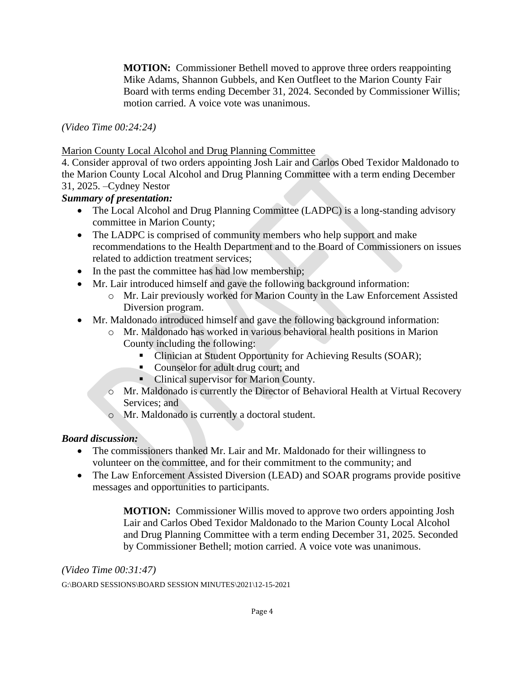**MOTION:** Commissioner Bethell moved to approve three orders reappointing Mike Adams, Shannon Gubbels, and Ken Outfleet to the Marion County Fair Board with terms ending December 31, 2024. Seconded by Commissioner Willis; motion carried. A voice vote was unanimous.

*(Video Time 00:24:24)*

Marion County Local Alcohol and Drug Planning Committee

4. Consider approval of two orders appointing Josh Lair and Carlos Obed Texidor Maldonado to the Marion County Local Alcohol and Drug Planning Committee with a term ending December 31, 2025. –Cydney Nestor

*Summary of presentation:*

- The Local Alcohol and Drug Planning Committee (LADPC) is a long-standing advisory committee in Marion County;
- The LADPC is comprised of community members who help support and make recommendations to the Health Department and to the Board of Commissioners on issues related to addiction treatment services;
- In the past the committee has had low membership;
- Mr. Lair introduced himself and gave the following background information:
	- o Mr. Lair previously worked for Marion County in the Law Enforcement Assisted Diversion program.
- Mr. Maldonado introduced himself and gave the following background information:
	- o Mr. Maldonado has worked in various behavioral health positions in Marion County including the following:
		- Clinician at Student Opportunity for Achieving Results (SOAR);
		- Counselor for adult drug court; and
		- Clinical supervisor for Marion County.
	- o Mr. Maldonado is currently the Director of Behavioral Health at Virtual Recovery Services; and
	- o Mr. Maldonado is currently a doctoral student.

# *Board discussion:*

- The commissioners thanked Mr. Lair and Mr. Maldonado for their willingness to volunteer on the committee, and for their commitment to the community; and
- The Law Enforcement Assisted Diversion (LEAD) and SOAR programs provide positive messages and opportunities to participants.

**MOTION:** Commissioner Willis moved to approve two orders appointing Josh Lair and Carlos Obed Texidor Maldonado to the Marion County Local Alcohol and Drug Planning Committee with a term ending December 31, 2025. Seconded by Commissioner Bethell; motion carried. A voice vote was unanimous.

*(Video Time 00:31:47)*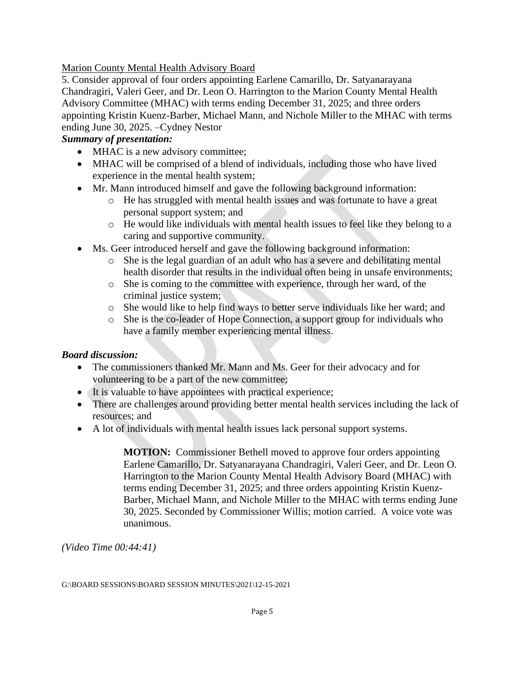Marion County Mental Health Advisory Board

5. Consider approval of four orders appointing Earlene Camarillo, Dr. Satyanarayana Chandragiri, Valeri Geer, and Dr. Leon O. Harrington to the Marion County Mental Health Advisory Committee (MHAC) with terms ending December 31, 2025; and three orders appointing Kristin Kuenz-Barber, Michael Mann, and Nichole Miller to the MHAC with terms ending June 30, 2025. –Cydney Nestor

# *Summary of presentation:*

- MHAC is a new advisory committee;
- MHAC will be comprised of a blend of individuals, including those who have lived experience in the mental health system;
- Mr. Mann introduced himself and gave the following background information:
	- o He has struggled with mental health issues and was fortunate to have a great personal support system; and
	- o He would like individuals with mental health issues to feel like they belong to a caring and supportive community.
- Ms. Geer introduced herself and gave the following background information:
	- o She is the legal guardian of an adult who has a severe and debilitating mental health disorder that results in the individual often being in unsafe environments;
	- o She is coming to the committee with experience, through her ward, of the criminal justice system;
	- o She would like to help find ways to better serve individuals like her ward; and
	- o She is the co-leader of Hope Connection, a support group for individuals who have a family member experiencing mental illness.

# *Board discussion:*

- The commissioners thanked Mr. Mann and Ms. Geer for their advocacy and for volunteering to be a part of the new committee;
- It is valuable to have appointees with practical experience;
- There are challenges around providing better mental health services including the lack of resources; and
- A lot of individuals with mental health issues lack personal support systems.

**MOTION:** Commissioner Bethell moved to approve four orders appointing Earlene Camarillo, Dr. Satyanarayana Chandragiri, Valeri Geer, and Dr. Leon O. Harrington to the Marion County Mental Health Advisory Board (MHAC) with terms ending December 31, 2025; and three orders appointing Kristin Kuenz-Barber, Michael Mann, and Nichole Miller to the MHAC with terms ending June 30, 2025. Seconded by Commissioner Willis; motion carried. A voice vote was unanimous.

*(Video Time 00:44:41)*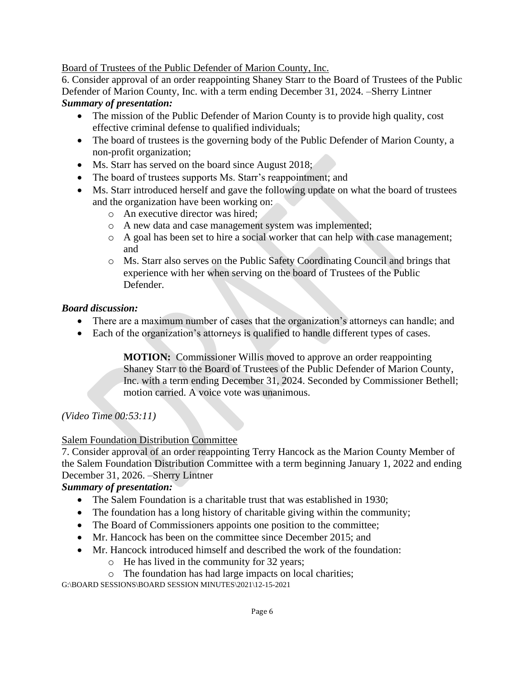Board of Trustees of the Public Defender of Marion County, Inc.

6. Consider approval of an order reappointing Shaney Starr to the Board of Trustees of the Public Defender of Marion County, Inc. with a term ending December 31, 2024. –Sherry Lintner *Summary of presentation:* 

- The mission of the Public Defender of Marion County is to provide high quality, cost effective criminal defense to qualified individuals;
- The board of trustees is the governing body of the Public Defender of Marion County, a non-profit organization;
- Ms. Starr has served on the board since August 2018;
- The board of trustees supports Ms. Starr's reappointment; and
- Ms. Starr introduced herself and gave the following update on what the board of trustees and the organization have been working on:
	- o An executive director was hired;
	- o A new data and case management system was implemented;
	- o A goal has been set to hire a social worker that can help with case management; and
	- o Ms. Starr also serves on the Public Safety Coordinating Council and brings that experience with her when serving on the board of Trustees of the Public Defender.

## *Board discussion:*

- There are a maximum number of cases that the organization's attorneys can handle; and
- Each of the organization's attorneys is qualified to handle different types of cases.

**MOTION:** Commissioner Willis moved to approve an order reappointing Shaney Starr to the Board of Trustees of the Public Defender of Marion County, Inc. with a term ending December 31, 2024. Seconded by Commissioner Bethell; motion carried. A voice vote was unanimous.

*(Video Time 00:53:11)*

# Salem Foundation Distribution Committee

7. Consider approval of an order reappointing Terry Hancock as the Marion County Member of the Salem Foundation Distribution Committee with a term beginning January 1, 2022 and ending December 31, 2026. –Sherry Lintner

# *Summary of presentation:*

- The Salem Foundation is a charitable trust that was established in 1930;
- The foundation has a long history of charitable giving within the community;
- The Board of Commissioners appoints one position to the committee;
- Mr. Hancock has been on the committee since December 2015; and
- Mr. Hancock introduced himself and described the work of the foundation:
	- o He has lived in the community for 32 years;
	- o The foundation has had large impacts on local charities;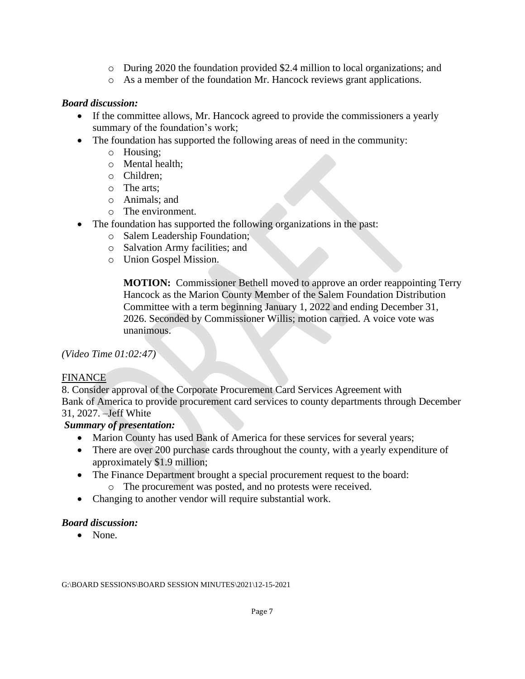- o During 2020 the foundation provided \$2.4 million to local organizations; and
- o As a member of the foundation Mr. Hancock reviews grant applications.

### *Board discussion:*

- If the committee allows, Mr. Hancock agreed to provide the commissioners a yearly summary of the foundation's work;
- The foundation has supported the following areas of need in the community:
	- o Housing;
	- o Mental health;
	- o Children;
	- o The arts;
	- o Animals; and
	- o The environment.
- The foundation has supported the following organizations in the past:
	- o Salem Leadership Foundation;
	- o Salvation Army facilities; and
	- o Union Gospel Mission.

**MOTION:** Commissioner Bethell moved to approve an order reappointing Terry Hancock as the Marion County Member of the Salem Foundation Distribution Committee with a term beginning January 1, 2022 and ending December 31, 2026. Seconded by Commissioner Willis; motion carried. A voice vote was unanimous.

*(Video Time 01:02:47)*

### FINANCE

8. Consider approval of the Corporate Procurement Card Services Agreement with Bank of America to provide procurement card services to county departments through December 31, 2027. –Jeff White

### *Summary of presentation:*

- Marion County has used Bank of America for these services for several years;
- There are over 200 purchase cards throughout the county, with a yearly expenditure of approximately \$1.9 million;
- The Finance Department brought a special procurement request to the board:
	- o The procurement was posted, and no protests were received.
- Changing to another vendor will require substantial work.

### *Board discussion:*

• None.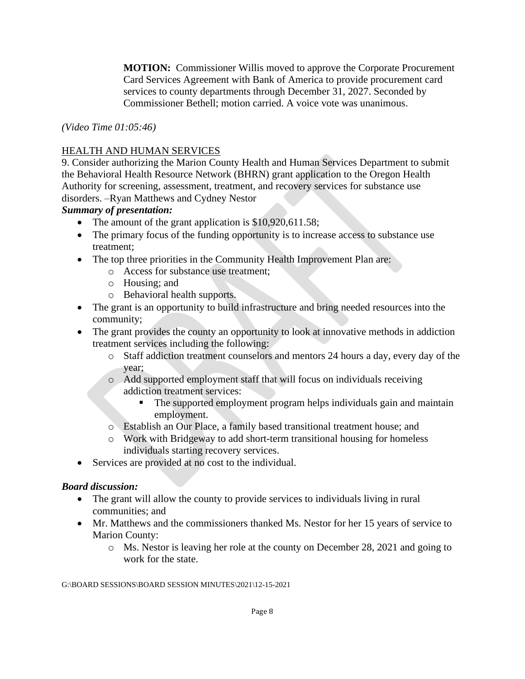**MOTION:** Commissioner Willis moved to approve the Corporate Procurement Card Services Agreement with Bank of America to provide procurement card services to county departments through December 31, 2027. Seconded by Commissioner Bethell; motion carried. A voice vote was unanimous.

*(Video Time 01:05:46)*

## HEALTH AND HUMAN SERVICES

9. Consider authorizing the Marion County Health and Human Services Department to submit the Behavioral Health Resource Network (BHRN) grant application to the Oregon Health Authority for screening, assessment, treatment, and recovery services for substance use disorders. –Ryan Matthews and Cydney Nestor

## *Summary of presentation:*

- The amount of the grant application is \$10,920,611.58;
- The primary focus of the funding opportunity is to increase access to substance use treatment;
- The top three priorities in the Community Health Improvement Plan are:
	- o Access for substance use treatment;
	- o Housing; and
	- o Behavioral health supports.
- The grant is an opportunity to build infrastructure and bring needed resources into the community;
- The grant provides the county an opportunity to look at innovative methods in addiction treatment services including the following:
	- o Staff addiction treatment counselors and mentors 24 hours a day, every day of the year;
	- o Add supported employment staff that will focus on individuals receiving addiction treatment services:
		- The supported employment program helps individuals gain and maintain employment.
	- o Establish an Our Place, a family based transitional treatment house; and
	- o Work with Bridgeway to add short-term transitional housing for homeless individuals starting recovery services.
- Services are provided at no cost to the individual.

# *Board discussion:*

- The grant will allow the county to provide services to individuals living in rural communities; and
- Mr. Matthews and the commissioners thanked Ms. Nestor for her 15 years of service to Marion County:
	- o Ms. Nestor is leaving her role at the county on December 28, 2021 and going to work for the state.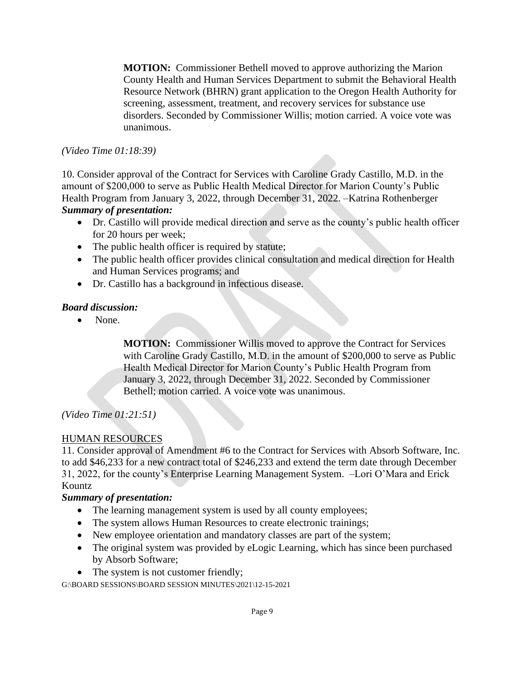**MOTION:** Commissioner Bethell moved to approve authorizing the Marion County Health and Human Services Department to submit the Behavioral Health Resource Network (BHRN) grant application to the Oregon Health Authority for screening, assessment, treatment, and recovery services for substance use disorders. Seconded by Commissioner Willis; motion carried. A voice vote was unanimous.

#### *(Video Time 01:18:39)*

10. Consider approval of the Contract for Services with Caroline Grady Castillo, M.D. in the amount of \$200,000 to serve as Public Health Medical Director for Marion County's Public Health Program from January 3, 2022, through December 31, 2022. –Katrina Rothenberger *Summary of presentation:* 

- Dr. Castillo will provide medical direction and serve as the county's public health officer for 20 hours per week;
- The public health officer is required by statute;
- The public health officer provides clinical consultation and medical direction for Health and Human Services programs; and
- Dr. Castillo has a background in infectious disease.

### *Board discussion:*

• None.

**MOTION:** Commissioner Willis moved to approve the Contract for Services with Caroline Grady Castillo, M.D. in the amount of \$200,000 to serve as Public Health Medical Director for Marion County's Public Health Program from January 3, 2022, through December 31, 2022. Seconded by Commissioner Bethell; motion carried. A voice vote was unanimous.

### *(Video Time 01:21:51)*

### HUMAN RESOURCES

11. Consider approval of Amendment #6 to the Contract for Services with Absorb Software, Inc. to add \$46,233 for a new contract total of \$246,233 and extend the term date through December 31, 2022, for the county's Enterprise Learning Management System. –Lori O'Mara and Erick Kountz

### *Summary of presentation:*

- The learning management system is used by all county employees;
- The system allows Human Resources to create electronic trainings;
- New employee orientation and mandatory classes are part of the system;
- The original system was provided by eLogic Learning, which has since been purchased by Absorb Software;
- The system is not customer friendly;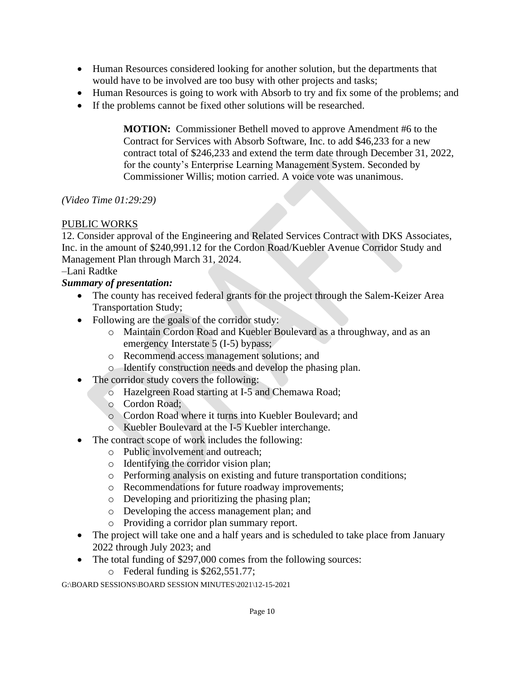- Human Resources considered looking for another solution, but the departments that would have to be involved are too busy with other projects and tasks;
- Human Resources is going to work with Absorb to try and fix some of the problems; and
- If the problems cannot be fixed other solutions will be researched.

**MOTION:** Commissioner Bethell moved to approve Amendment #6 to the Contract for Services with Absorb Software, Inc. to add \$46,233 for a new contract total of \$246,233 and extend the term date through December 31, 2022, for the county's Enterprise Learning Management System. Seconded by Commissioner Willis; motion carried. A voice vote was unanimous.

# *(Video Time 01:29:29)*

# PUBLIC WORKS

12. Consider approval of the Engineering and Related Services Contract with DKS Associates, Inc. in the amount of \$240,991.12 for the Cordon Road/Kuebler Avenue Corridor Study and Management Plan through March 31, 2024.

# –Lani Radtke

# *Summary of presentation:*

- The county has received federal grants for the project through the Salem-Keizer Area Transportation Study;
- Following are the goals of the corridor study:
	- o Maintain Cordon Road and Kuebler Boulevard as a throughway, and as an emergency Interstate 5 (I-5) bypass;
	- o Recommend access management solutions; and
	- o Identify construction needs and develop the phasing plan.
- The corridor study covers the following:
	- o Hazelgreen Road starting at I-5 and Chemawa Road;
	- o Cordon Road;
	- o Cordon Road where it turns into Kuebler Boulevard; and
	- o Kuebler Boulevard at the I-5 Kuebler interchange.
- The contract scope of work includes the following:
	- o Public involvement and outreach;
	- o Identifying the corridor vision plan;
	- o Performing analysis on existing and future transportation conditions;
	- o Recommendations for future roadway improvements;
	- o Developing and prioritizing the phasing plan;
	- o Developing the access management plan; and
	- o Providing a corridor plan summary report.
- The project will take one and a half years and is scheduled to take place from January 2022 through July 2023; and
- The total funding of \$297,000 comes from the following sources:
	- o Federal funding is \$262,551.77;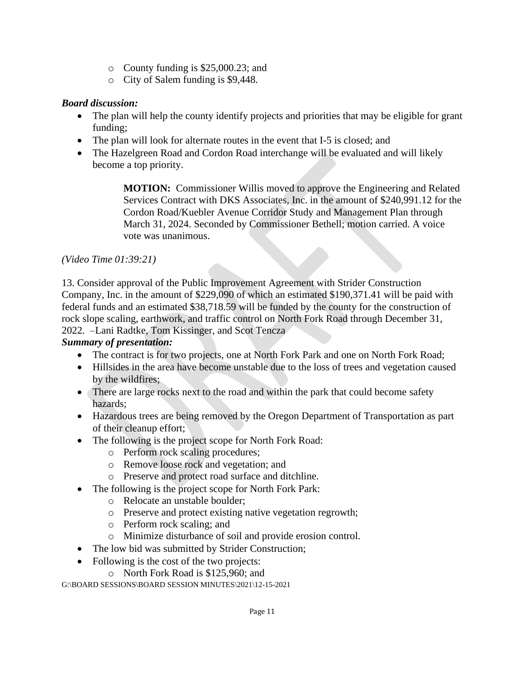- o County funding is \$25,000.23; and
- o City of Salem funding is \$9,448.

## *Board discussion:*

- The plan will help the county identify projects and priorities that may be eligible for grant funding;
- The plan will look for alternate routes in the event that I-5 is closed; and
- The Hazelgreen Road and Cordon Road interchange will be evaluated and will likely become a top priority.

**MOTION:** Commissioner Willis moved to approve the Engineering and Related Services Contract with DKS Associates, Inc. in the amount of \$240,991.12 for the Cordon Road/Kuebler Avenue Corridor Study and Management Plan through March 31, 2024. Seconded by Commissioner Bethell; motion carried. A voice vote was unanimous.

## *(Video Time 01:39:21)*

13. Consider approval of the Public Improvement Agreement with Strider Construction Company, Inc. in the amount of \$229,090 of which an estimated \$190,371.41 will be paid with federal funds and an estimated \$38,718.59 will be funded by the county for the construction of rock slope scaling, earthwork, and traffic control on North Fork Road through December 31, 2022. –Lani Radtke, Tom Kissinger, and Scot Tencza

### *Summary of presentation:*

- The contract is for two projects, one at North Fork Park and one on North Fork Road;
- Hillsides in the area have become unstable due to the loss of trees and vegetation caused by the wildfires;
- There are large rocks next to the road and within the park that could become safety hazards;
- Hazardous trees are being removed by the Oregon Department of Transportation as part of their cleanup effort;
- The following is the project scope for North Fork Road:
	- o Perform rock scaling procedures;
	- o Remove loose rock and vegetation; and
	- o Preserve and protect road surface and ditchline.
- The following is the project scope for North Fork Park:
	- o Relocate an unstable boulder;
	- o Preserve and protect existing native vegetation regrowth;
	- o Perform rock scaling; and
	- o Minimize disturbance of soil and provide erosion control.
- The low bid was submitted by Strider Construction;
- Following is the cost of the two projects:
	- o North Fork Road is \$125,960; and